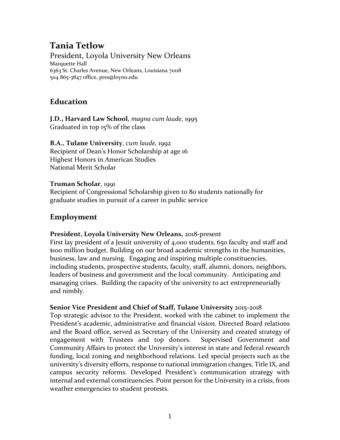# **Tania Tetlow**

President, Loyola University New Orleans Marquette Hall 6363 St. Charles Avenue, New Orleans, Louisiana 70118 504 865-3847 office, pres@loyno.edu

## **Education**

**J.D., Harvard Law School**, *magna cum laude*, 1995 Graduated in top 15% of the class

**B.A., Tulane University**, *cum laude,* 1992 Recipient of Dean's Honor Scholarship at age 16 Highest Honors in American Studies National Merit Scholar

#### **Truman Scholar**, 1991

Recipient of Congressional Scholarship given to 80 students nationally for graduate studies in pursuit of a career in public service

## **Employment**

#### **President, Loyola University New Orleans,** 2018-present

First lay president of a Jesuit university of 4,000 students, 650 faculty and staff and \$100 million budget. Building on our broad academic strengths in the humanities, business, law and nursing. Engaging and inspiring multiple constituencies, including students, prospective students, faculty, staff, alumni, donors, neighbors, leaders of business and government and the local community. Anticipating and managing crises. Building the capacity of the university to act entrepreneurially and nimbly.

#### **Senior Vice President and Chief of Staff, Tulane University** 2015-2018

Top strategic advisor to the President, worked with the cabinet to implement the President's academic, administrative and financial vision. Directed Board relations and the Board office, served as Secretary of the University and created strategy of engagement with Trustees and top donors. Supervised Government and Community Affairs to protect the University's interest in state and federal research funding, local zoning and neighborhood relations. Led special projects such as the university's diversity efforts, response to national immigration changes, Title IX, and campus security reforms. Developed President's communication strategy with internal and external constituencies. Point person for the University in a crisis, from weather emergencies to student protests.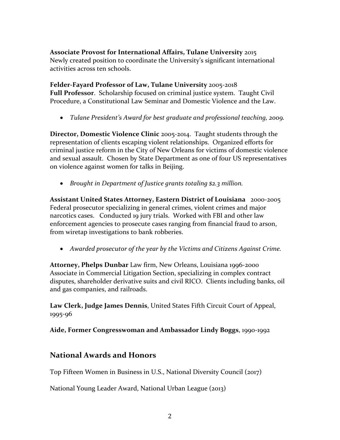**Associate Provost for International Affairs, Tulane University** 2015 Newly created position to coordinate the University's significant international activities across ten schools.

**Felder-Fayard Professor of Law, Tulane University** 2005-2018 **Full Professor**. Scholarship focused on criminal justice system. Taught Civil Procedure, a Constitutional Law Seminar and Domestic Violence and the Law.

• *Tulane President's Award for best graduate and professional teaching, 2009.* 

**Director, Domestic Violence Clinic** 2005-2014. Taught students through the representation of clients escaping violent relationships. Organized efforts for criminal justice reform in the City of New Orleans for victims of domestic violence and sexual assault. Chosen by State Department as one of four US representatives on violence against women for talks in Beijing.

• *Brought in Department of Justice grants totaling \$2.3 million.*

**Assistant United States Attorney, Eastern District of Louisiana** 2000-2005 Federal prosecutor specializing in general crimes, violent crimes and major narcotics cases. Conducted 19 jury trials. Worked with FBI and other law enforcement agencies to prosecute cases ranging from financial fraud to arson, from wiretap investigations to bank robberies.

• *Awarded prosecutor of the year by the Victims and Citizens Against Crime.* 

**Attorney, Phelps Dunbar** Law firm, New Orleans, Louisiana 1996-2000 Associate in Commercial Litigation Section, specializing in complex contract disputes, shareholder derivative suits and civil RICO. Clients including banks, oil and gas companies, and railroads.

**Law Clerk, Judge James Dennis**, United States Fifth Circuit Court of Appeal, 1995-96

**Aide, Former Congresswoman and Ambassador Lindy Boggs**, 1990-1992

## **National Awards and Honors**

Top Fifteen Women in Business in U.S., National Diversity Council (2017)

National Young Leader Award, National Urban League (2013)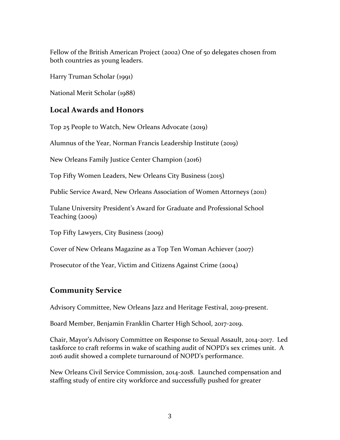Fellow of the British American Project (2002) One of 50 delegates chosen from both countries as young leaders.

Harry Truman Scholar (1991)

National Merit Scholar (1988)

## **Local Awards and Honors**

Top 25 People to Watch, New Orleans Advocate (2019)

Alumnus of the Year, Norman Francis Leadership Institute (2019)

New Orleans Family Justice Center Champion (2016)

Top Fifty Women Leaders, New Orleans City Business (2015)

Public Service Award, New Orleans Association of Women Attorneys (2011)

Tulane University President's Award for Graduate and Professional School Teaching (2009)

Top Fifty Lawyers, City Business (2009)

Cover of New Orleans Magazine as a Top Ten Woman Achiever (2007)

Prosecutor of the Year, Victim and Citizens Against Crime (2004)

## **Community Service**

Advisory Committee, New Orleans Jazz and Heritage Festival, 2019-present.

Board Member, Benjamin Franklin Charter High School, 2017-2019.

Chair, Mayor's Advisory Committee on Response to Sexual Assault, 2014-2017. Led taskforce to craft reforms in wake of scathing audit of NOPD's sex crimes unit. A 2016 audit showed a complete turnaround of NOPD's performance.

New Orleans Civil Service Commission, 2014-2018. Launched compensation and staffing study of entire city workforce and successfully pushed for greater